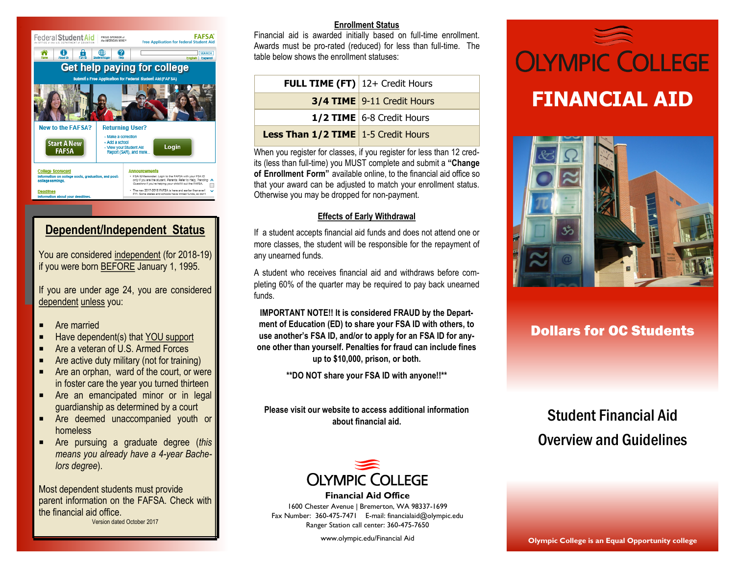

## **Dependent/Independent Status**

You are considered independent (for 2018-19) if you were born BEFORE January 1, 1995.

If you are under age 24, you are considered dependent unless you:

- **Are married**
- Have dependent(s) that YOU support
- Are a veteran of U.S. Armed Forces
- Are active duty military (not for training)
- Are an orphan, ward of the court, or were in foster care the year you turned thirteen
- Are an emancipated minor or in legal guardianship as determined by a court
- Are deemed unaccompanied youth or homeless
- Are pursuing a graduate degree (*this means you already have a 4-year Bachelors degree*).

Most dependent students must provide parent information on the FAFSA. Check with the financial aid office. Version dated October 2017

#### **Enrollment Status**

Financial aid is awarded initially based on full-time enrollment. Awards must be pro-rated (reduced) for less than full-time. The table below shows the enrollment statuses:

### **FULL TIME (FT)** 12+ Credit Hours

**3/4 TIME** 9-11 Credit Hours

**1/2 TIME** 6-8 Credit Hours

Less Than 1/2 TIME 1-5 Credit Hours

When you register for classes, if you register for less than 12 credits (less than full-time) you MUST complete and submit a **"Change of Enrollment Form"** available online, to the financial aid office so that your award can be adjusted to match your enrollment status. Otherwise you may be dropped for non-payment.

#### **Effects of Early Withdrawal**

If a student accepts financial aid funds and does not attend one or more classes, the student will be responsible for the repayment of any unearned funds.

A student who receives financial aid and withdraws before completing 60% of the quarter may be required to pay back unearned funds.

**IMPORTANT NOTE!! It is considered FRAUD by the Department of Education (ED) to share your FSA ID with others, to use another's FSA ID, and/or to apply for an FSA ID for anyone other than yourself. Penalties for fraud can include fines up to \$10,000, prison, or both.** 

**\*\*DO NOT share your FSA ID with anyone!!\*\***

**Please visit our website to access additional information about financial aid.**



#### **Financial Aid Office**

1600 Chester Avenue | Bremerton, WA 98337-1699 Fax Number: 360-475-7471 E-mail: financialaid@olympic.edu Ranger Station call center: 360-475-7650

www.olympic.edu/Financial Aid

# **OLYMPIC COLLEGE FINANCIAL AID**



# Dollars for OC Students

# Student Financial Aid Overview and Guidelines